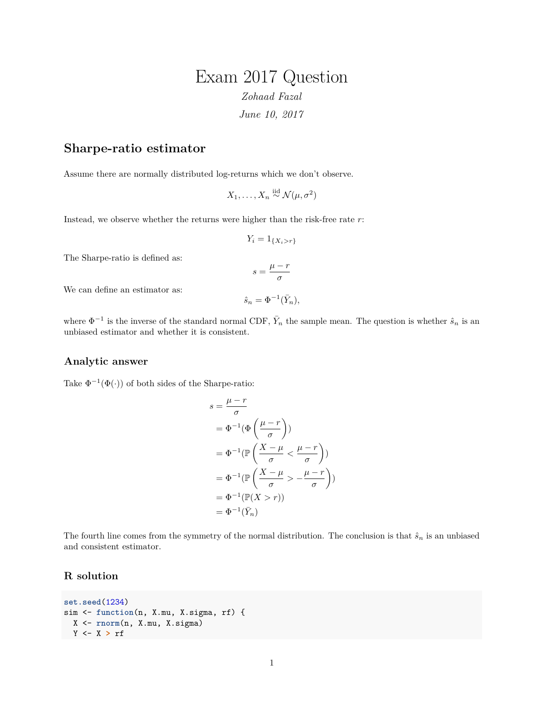## Exam 2017 Question *Zohaad Fazal June 10, 2017*

## **Sharpe-ratio estimator**

Assume there are normally distributed log-returns which we don't observe.

$$
X_1, \ldots, X_n \stackrel{\text{iid}}{\sim} \mathcal{N}(\mu, \sigma^2)
$$

Instead, we observe whether the returns were higher than the risk-free rate *r*:

$$
Y_i = 1_{\{X_i > r\}}
$$

The Sharpe-ratio is defined as:

$$
s = \frac{\mu - r}{\sigma}
$$

We can define an estimator as:

$$
\hat{s}_n = \Phi^{-1}(\bar{Y}_n),
$$

where  $\Phi^{-1}$  is the inverse of the standard normal CDF,  $\bar{Y}_n$  the sample mean. The question is whether  $\hat{s}_n$  is an unbiased estimator and whether it is consistent.

## **Analytic answer**

Take  $\Phi^{-1}(\Phi(\cdot))$  of both sides of the Sharpe-ratio:

$$
s = \frac{\mu - r}{\sigma}
$$
  
=  $\Phi^{-1}(\Phi\left(\frac{\mu - r}{\sigma}\right))$   
=  $\Phi^{-1}(\mathbb{P}\left(\frac{X - \mu}{\sigma} < \frac{\mu - r}{\sigma}\right))$   
=  $\Phi^{-1}(\mathbb{P}\left(\frac{X - \mu}{\sigma} > -\frac{\mu - r}{\sigma}\right))$   
=  $\Phi^{-1}(\mathbb{P}(X > r))$   
=  $\Phi^{-1}(\bar{Y}_n)$ 

The fourth line comes from the symmetry of the normal distribution. The conclusion is that  $\hat{s}_n$  is an unbiased and consistent estimator.

## **R solution**

```
set.seed(1234)
sim <- function(n, X.mu, X.sigma, rf) {
 X <- rnorm(n, X.mu, X.sigma)
Y <- X > rf
```